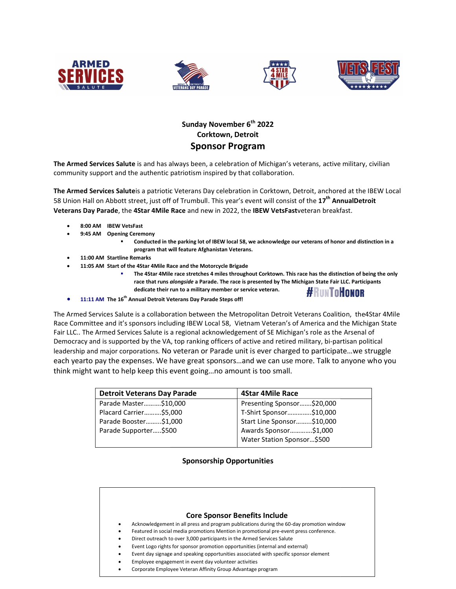







## Sunday November 6<sup>th</sup> 2022 Corktown, Detroit Sponsor Program

The Armed Services Salute is and has always been, a celebration of Michigan's veterans, active military, civilian community support and the authentic patriotism inspired by that collaboration.

community support and the authentic patriotism inspired by that collaboration.<br>**The Armed Services Salute**is a patriotic Veterans Day celebration in Corktown, Detroit, anchored at the IBEW Local 58 Union Hall on Abbott street, just off of Trumbull. This year's event will consist of the  $17^{\text{th}}$  AnnualDetroit Veterans Day Parade, the 4Star 4Mile Race and new in 2022, the IBEW VetsFastveteran breakfast.

- 8:00 AM IBEW VetsFast
- 9:45 AM Opening Ceremony
	- "Conducted in the parking lot of IBEW local 58, we acknowledge our veterans of honor and distinction in a program that will feature Afghanistan Veterans.
- 11:00 AM Startline Remarks
- 11:05 AM Start of the 4Star 4Mile Race and the Motorcycle Brigade
- Conducted in the parking lot of IBEW local 58, we acknowledge our veterans of honor and distinction<br>program that will feature Afghanistan Veterans.<br>emarks<br>4 Star 4Mile Race and the Motorcycle Brigade<br>The 4Star 4Mile race s The 4Star 4Mile race stretches 4 miles throughout Corktown. This race has the distinction of being the only dedicate their run to a military member or service veteran. #RunToHonor
- $\bullet$  11:11 AM The 16<sup>th</sup> Annual Detroit Veterans Day Parade Steps off!

The Armed Services Salute is a collaboration between the Metropolitan Detroit Veterans Coalition, the4Star 4Mile Race Committee and it's sponsors including IBEW Local 58, Vietnam Veteran's of America and the Michigan State<br>Fair LLC.. The Armed Services Salute is a regional acknowledgement of SE Michigan's role as the Arsenal of<br>Democ Fair LLC.. The Armed Services Salute is a regional acknowledgement of SE Michigan's role as the Arsenal of Democracy and is supported by the VA, top ranking officers of active and retired military, bi-partisan leadership and major corporations. No veteran or Parade unit is ever charged to participate…we struggle each yearto pay the expenses. We have great sponsors...and we can use more. Talk to anyone who you<br>think might want to help keep this event going...no amount is too small. think might want to help keep this event going…no amount is too small.

| <b>Detroit Veterans Day Parade</b> | <b>4Star 4Mile Race</b>    |
|------------------------------------|----------------------------|
| Parade Master\$10,000              | Presenting Sponsor\$20,000 |
| Placard Carrier\$5,000             | T-Shirt Sponsor\$10,000    |
| Parade Booster\$1,000              | Start Line Sponsor\$10,000 |
| Parade Supporter\$500              | Awards Sponsor\$1,000      |
|                                    | Water Station Sponsor\$500 |

## Sponsorship Opportunities

|           | <b>Core Sponsor Benefits Include</b>                                                     |
|-----------|------------------------------------------------------------------------------------------|
| $\bullet$ | Acknowledgement in all press and program publications during the 60-day promotion window |
|           | Featured in social media promotions Mention in promotional pre-event press conference.   |
| $\bullet$ | Direct outreach to over 3,000 participants in the Armed Services Salute                  |
| $\bullet$ | Event Logo rights for sponsor promotion opportunities (internal and external)            |
| $\bullet$ | Event day signage and speaking opportunities associated with specific sponsor element    |
| $\bullet$ | Employee engagement in event day volunteer activities                                    |
|           | Corporate Employee Veteran Affinity Group Advantage program                              |